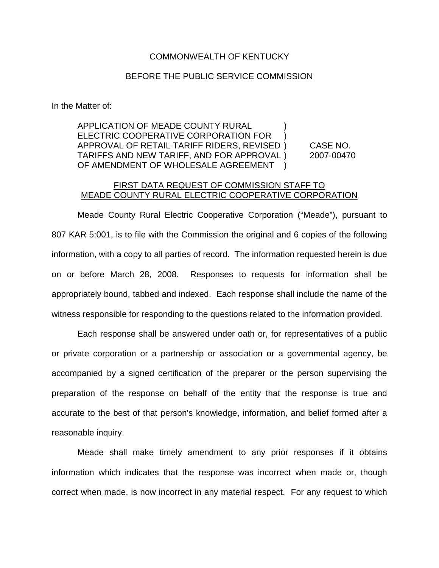## COMMONWEALTH OF KENTUCKY

## BEFORE THE PUBLIC SERVICE COMMISSION

In the Matter of:

APPLICATION OF MEADE COUNTY RURAL ) ELECTRIC COOPERATIVE CORPORATION FOR ) APPROVAL OF RETAIL TARIFF RIDERS, REVISED ) CASE NO. TARIFFS AND NEW TARIFF, AND FOR APPROVAL ) 2007-00470 OF AMENDMENT OF WHOLESALE AGREEMENT

## FIRST DATA REQUEST OF COMMISSION STAFF TO MEADE COUNTY RURAL ELECTRIC COOPERATIVE CORPORATION

Meade County Rural Electric Cooperative Corporation ("Meade"), pursuant to 807 KAR 5:001, is to file with the Commission the original and 6 copies of the following information, with a copy to all parties of record. The information requested herein is due on or before March 28, 2008. Responses to requests for information shall be appropriately bound, tabbed and indexed. Each response shall include the name of the witness responsible for responding to the questions related to the information provided.

Each response shall be answered under oath or, for representatives of a public or private corporation or a partnership or association or a governmental agency, be accompanied by a signed certification of the preparer or the person supervising the preparation of the response on behalf of the entity that the response is true and accurate to the best of that person's knowledge, information, and belief formed after a reasonable inquiry.

Meade shall make timely amendment to any prior responses if it obtains information which indicates that the response was incorrect when made or, though correct when made, is now incorrect in any material respect. For any request to which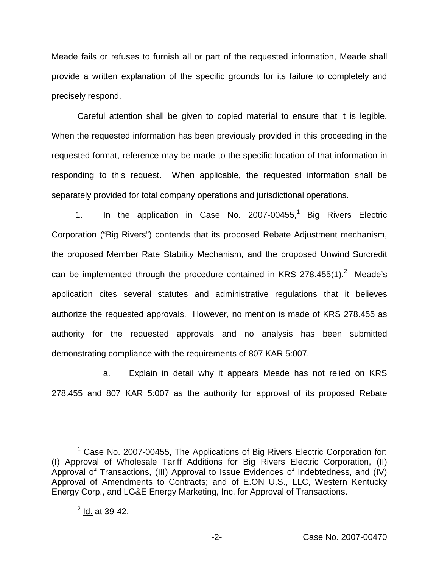Meade fails or refuses to furnish all or part of the requested information, Meade shall provide a written explanation of the specific grounds for its failure to completely and precisely respond.

Careful attention shall be given to copied material to ensure that it is legible. When the requested information has been previously provided in this proceeding in the requested format, reference may be made to the specific location of that information in responding to this request. When applicable, the requested information shall be separately provided for total company operations and jurisdictional operations.

1. In the application in Case No. 2007-00455,<sup>1</sup> Big Rivers Electric Corporation ("Big Rivers") contends that its proposed Rebate Adjustment mechanism, the proposed Member Rate Stability Mechanism, and the proposed Unwind Surcredit can be implemented through the procedure contained in KRS  $278.455(1).^{2}$  Meade's application cites several statutes and administrative regulations that it believes authorize the requested approvals. However, no mention is made of KRS 278.455 as authority for the requested approvals and no analysis has been submitted demonstrating compliance with the requirements of 807 KAR 5:007.

a. Explain in detail why it appears Meade has not relied on KRS 278.455 and 807 KAR 5:007 as the authority for approval of its proposed Rebate

 $1$  Case No. 2007-00455, The Applications of Big Rivers Electric Corporation for: (I) Approval of Wholesale Tariff Additions for Big Rivers Electric Corporation, (II) Approval of Transactions, (III) Approval to Issue Evidences of Indebtedness, and (IV) Approval of Amendments to Contracts; and of E.ON U.S., LLC, Western Kentucky Energy Corp., and LG&E Energy Marketing, Inc. for Approval of Transactions.

 $^{2}$  Id. at 39-42.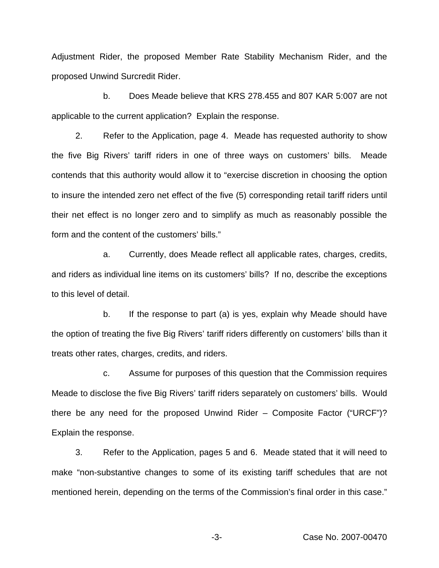Adjustment Rider, the proposed Member Rate Stability Mechanism Rider, and the proposed Unwind Surcredit Rider.

b. Does Meade believe that KRS 278.455 and 807 KAR 5:007 are not applicable to the current application? Explain the response.

2. Refer to the Application, page 4. Meade has requested authority to show the five Big Rivers' tariff riders in one of three ways on customers' bills. Meade contends that this authority would allow it to "exercise discretion in choosing the option to insure the intended zero net effect of the five (5) corresponding retail tariff riders until their net effect is no longer zero and to simplify as much as reasonably possible the form and the content of the customers' bills."

a. Currently, does Meade reflect all applicable rates, charges, credits, and riders as individual line items on its customers' bills? If no, describe the exceptions to this level of detail.

b. If the response to part (a) is yes, explain why Meade should have the option of treating the five Big Rivers' tariff riders differently on customers' bills than it treats other rates, charges, credits, and riders.

c. Assume for purposes of this question that the Commission requires Meade to disclose the five Big Rivers' tariff riders separately on customers' bills. Would there be any need for the proposed Unwind Rider – Composite Factor ("URCF")? Explain the response.

3. Refer to the Application, pages 5 and 6. Meade stated that it will need to make "non-substantive changes to some of its existing tariff schedules that are not mentioned herein, depending on the terms of the Commission's final order in this case."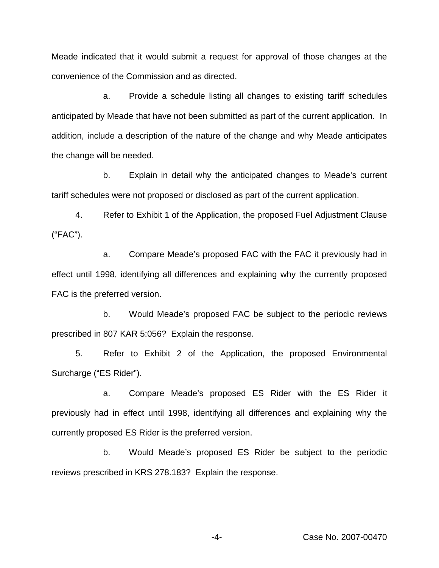Meade indicated that it would submit a request for approval of those changes at the convenience of the Commission and as directed.

a. Provide a schedule listing all changes to existing tariff schedules anticipated by Meade that have not been submitted as part of the current application. In addition, include a description of the nature of the change and why Meade anticipates the change will be needed.

b. Explain in detail why the anticipated changes to Meade's current tariff schedules were not proposed or disclosed as part of the current application.

4. Refer to Exhibit 1 of the Application, the proposed Fuel Adjustment Clause ("FAC").

a. Compare Meade's proposed FAC with the FAC it previously had in effect until 1998, identifying all differences and explaining why the currently proposed FAC is the preferred version.

b. Would Meade's proposed FAC be subject to the periodic reviews prescribed in 807 KAR 5:056? Explain the response.

5. Refer to Exhibit 2 of the Application, the proposed Environmental Surcharge ("ES Rider").

a. Compare Meade's proposed ES Rider with the ES Rider it previously had in effect until 1998, identifying all differences and explaining why the currently proposed ES Rider is the preferred version.

b. Would Meade's proposed ES Rider be subject to the periodic reviews prescribed in KRS 278.183? Explain the response.

-4- Case No. 2007-00470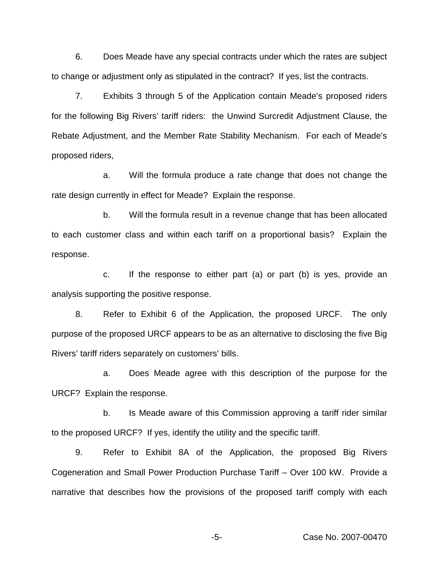6. Does Meade have any special contracts under which the rates are subject to change or adjustment only as stipulated in the contract? If yes, list the contracts.

7. Exhibits 3 through 5 of the Application contain Meade's proposed riders for the following Big Rivers' tariff riders: the Unwind Surcredit Adjustment Clause, the Rebate Adjustment, and the Member Rate Stability Mechanism. For each of Meade's proposed riders,

a. Will the formula produce a rate change that does not change the rate design currently in effect for Meade? Explain the response.

b. Will the formula result in a revenue change that has been allocated to each customer class and within each tariff on a proportional basis? Explain the response.

c. If the response to either part (a) or part (b) is yes, provide an analysis supporting the positive response.

8. Refer to Exhibit 6 of the Application, the proposed URCF. The only purpose of the proposed URCF appears to be as an alternative to disclosing the five Big Rivers' tariff riders separately on customers' bills.

a. Does Meade agree with this description of the purpose for the URCF? Explain the response.

b. Is Meade aware of this Commission approving a tariff rider similar to the proposed URCF? If yes, identify the utility and the specific tariff.

9. Refer to Exhibit 8A of the Application, the proposed Big Rivers Cogeneration and Small Power Production Purchase Tariff – Over 100 kW. Provide a narrative that describes how the provisions of the proposed tariff comply with each

-5- Case No. 2007-00470